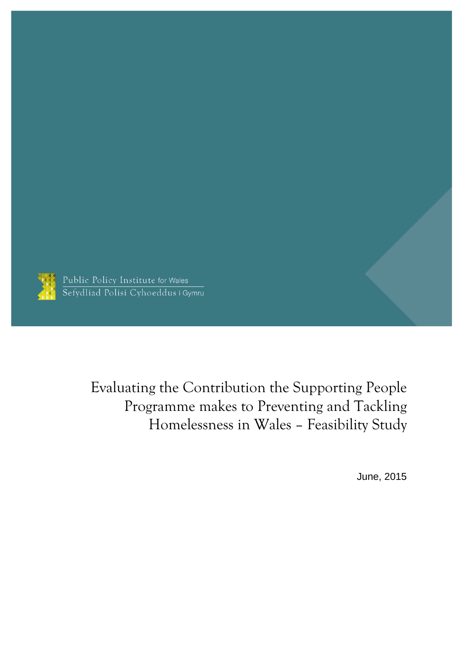

Public Policy Institute for Wales Sefydliad Polisi Cyhoeddus i Gymru

> Evaluating the Contribution the Supporting People Programme makes to Preventing and Tackling Homelessness in Wales – Feasibility Study

> > June, 2015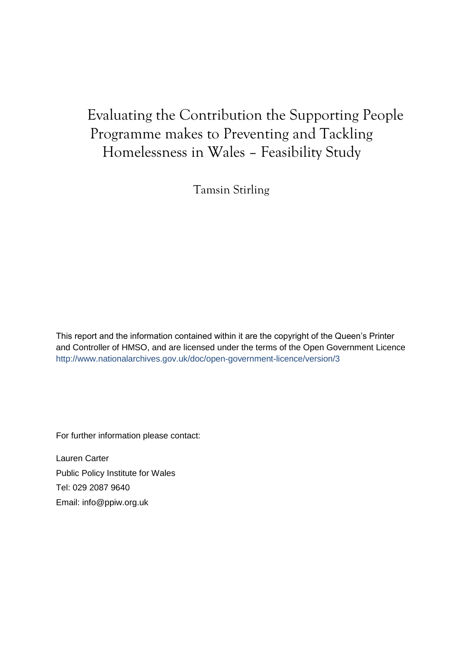# Evaluating the Contribution the Supporting People Programme makes to Preventing and Tackling Homelessness in Wales – Feasibility Study

Tamsin Stirling

This report and the information contained within it are the copyright of the Queen's Printer and Controller of HMSO, and are licensed under the terms of the Open Government Licence <http://www.nationalarchives.gov.uk/doc/open-government-licence/version/3>

For further information please contact:

Lauren Carter Public Policy Institute for Wales Tel: 029 2087 9640 Email: [info@ppiw.org.uk](mailto:info@ppiw.org.uk)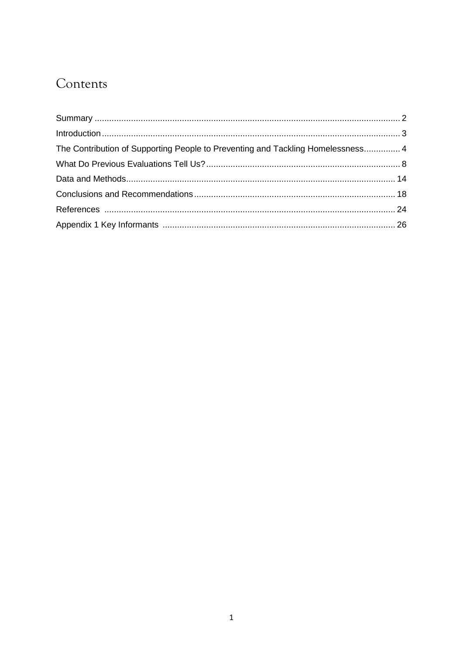# Contents

| The Contribution of Supporting People to Preventing and Tackling Homelessness 4 |  |
|---------------------------------------------------------------------------------|--|
|                                                                                 |  |
|                                                                                 |  |
|                                                                                 |  |
|                                                                                 |  |
|                                                                                 |  |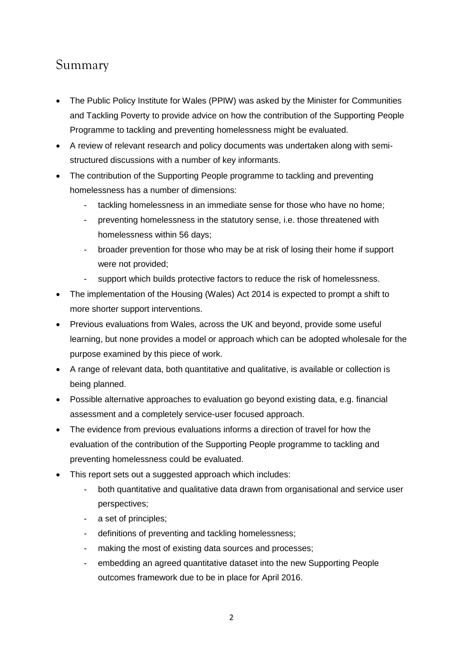## <span id="page-3-0"></span>Summary

- The Public Policy Institute for Wales (PPIW) was asked by the Minister for Communities and Tackling Poverty to provide advice on how the contribution of the Supporting People Programme to tackling and preventing homelessness might be evaluated.
- A review of relevant research and policy documents was undertaken along with semistructured discussions with a number of key informants.
- The contribution of the Supporting People programme to tackling and preventing homelessness has a number of dimensions:
	- tackling homelessness in an immediate sense for those who have no home;
	- preventing homelessness in the statutory sense, i.e. those threatened with homelessness within 56 days;
	- broader prevention for those who may be at risk of losing their home if support were not provided;
	- support which builds protective factors to reduce the risk of homelessness.
- The implementation of the Housing (Wales) Act 2014 is expected to prompt a shift to more shorter support interventions.
- Previous evaluations from Wales, across the UK and beyond, provide some useful learning, but none provides a model or approach which can be adopted wholesale for the purpose examined by this piece of work.
- A range of relevant data, both quantitative and qualitative, is available or collection is being planned.
- Possible alternative approaches to evaluation go beyond existing data, e.g. financial assessment and a completely service-user focused approach.
- The evidence from previous evaluations informs a direction of travel for how the evaluation of the contribution of the Supporting People programme to tackling and preventing homelessness could be evaluated.
- This report sets out a suggested approach which includes:
	- both quantitative and qualitative data drawn from organisational and service user perspectives;
	- a set of principles;
	- definitions of preventing and tackling homelessness;
	- making the most of existing data sources and processes;
	- embedding an agreed quantitative dataset into the new Supporting People outcomes framework due to be in place for April 2016.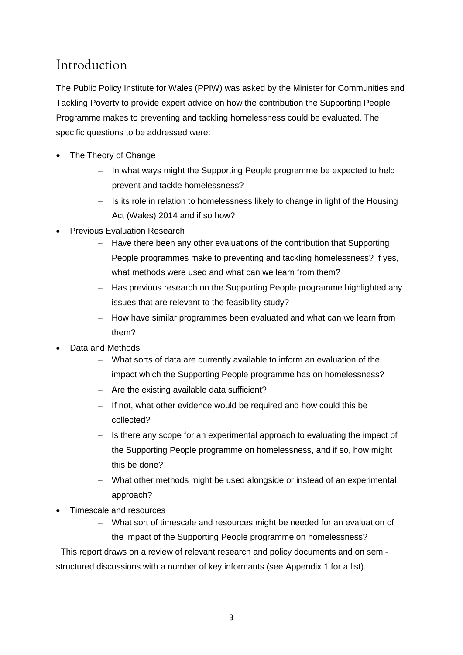## Introduction

The Public Policy Institute for Wales (PPIW) was asked by the Minister for Communities and Tackling Poverty to provide expert advice on how the contribution the Supporting People Programme makes to preventing and tackling homelessness could be evaluated. The specific questions to be addressed were:

- The Theory of Change
	- In what ways might the Supporting People programme be expected to help prevent and tackle homelessness?
	- $-$  Is its role in relation to homelessness likely to change in light of the Housing Act (Wales) 2014 and if so how?
- Previous Evaluation Research
	- Have there been any other evaluations of the contribution that Supporting People programmes make to preventing and tackling homelessness? If yes, what methods were used and what can we learn from them?
	- Has previous research on the Supporting People programme highlighted any issues that are relevant to the feasibility study?
	- How have similar programmes been evaluated and what can we learn from them?
- Data and Methods
	- What sorts of data are currently available to inform an evaluation of the impact which the Supporting People programme has on homelessness?
	- $-$  Are the existing available data sufficient?
	- $-I$  If not, what other evidence would be required and how could this be collected?
	- Is there any scope for an experimental approach to evaluating the impact of the Supporting People programme on homelessness, and if so, how might this be done?
	- What other methods might be used alongside or instead of an experimental approach?
- Timescale and resources
	- What sort of timescale and resources might be needed for an evaluation of the impact of the Supporting People programme on homelessness?

This report draws on a review of relevant research and policy documents and on semistructured discussions with a number of key informants (see Appendix 1 for a list).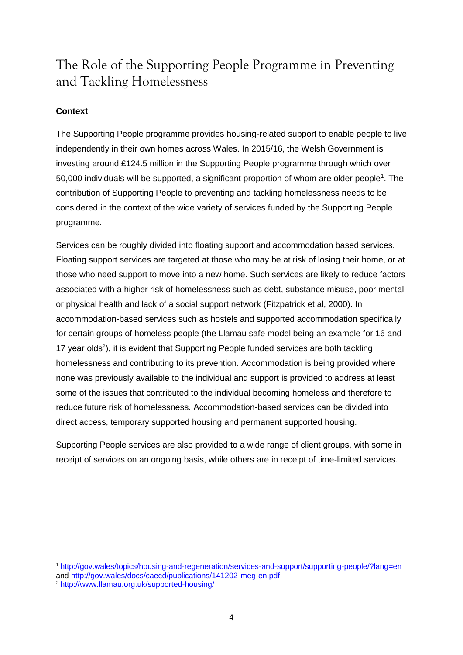## The Role of the Supporting People Programme in Preventing and Tackling Homelessness

### **Context**

1

The Supporting People programme provides housing-related support to enable people to live independently in their own homes across Wales. In 2015/16, the Welsh Government is investing around £124.5 million in the Supporting People programme through which over 50,000 individuals will be supported, a significant proportion of whom are older people<sup>1</sup>. The contribution of Supporting People to preventing and tackling homelessness needs to be considered in the context of the wide variety of services funded by the Supporting People programme.

Services can be roughly divided into floating support and accommodation based services. Floating support services are targeted at those who may be at risk of losing their home, or at those who need support to move into a new home. Such services are likely to reduce factors associated with a higher risk of homelessness such as debt, substance misuse, poor mental or physical health and lack of a social support network (Fitzpatrick et al, 2000). In accommodation-based services such as hostels and supported accommodation specifically for certain groups of homeless people (the Llamau safe model being an example for 16 and 17 year olds<sup>2</sup>), it is evident that Supporting People funded services are both tackling homelessness and contributing to its prevention. Accommodation is being provided where none was previously available to the individual and support is provided to address at least some of the issues that contributed to the individual becoming homeless and therefore to reduce future risk of homelessness. Accommodation-based services can be divided into direct access, temporary supported housing and permanent supported housing.

Supporting People services are also provided to a wide range of client groups, with some in receipt of services on an ongoing basis, while others are in receipt of time-limited services.

<sup>1</sup> <http://gov.wales/topics/housing-and-regeneration/services-and-support/supporting-people/?lang=en> and<http://gov.wales/docs/caecd/publications/141202-meg-en.pdf> <sup>2</sup> <http://www.llamau.org.uk/supported-housing/>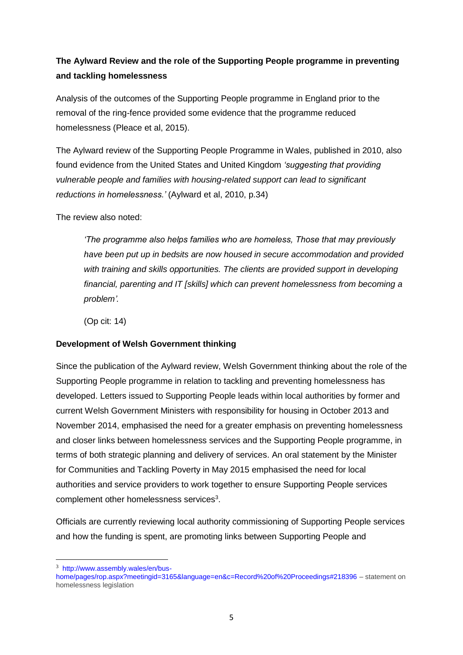### **The Aylward Review and the role of the Supporting People programme in preventing and tackling homelessness**

Analysis of the outcomes of the Supporting People programme in England prior to the removal of the ring-fence provided some evidence that the programme reduced homelessness (Pleace et al, 2015).

The Aylward review of the Supporting People Programme in Wales, published in 2010, also found evidence from the United States and United Kingdom *'suggesting that providing vulnerable people and families with housing-related support can lead to significant reductions in homelessness.'* (Aylward et al, 2010, p.34)

The review also noted:

*'The programme also helps families who are homeless, Those that may previously have been put up in bedsits are now housed in secure accommodation and provided with training and skills opportunities. The clients are provided support in developing financial, parenting and IT [skills] which can prevent homelessness from becoming a problem'.*

(Op cit: 14)

#### **Development of Welsh Government thinking**

Since the publication of the Aylward review, Welsh Government thinking about the role of the Supporting People programme in relation to tackling and preventing homelessness has developed. Letters issued to Supporting People leads within local authorities by former and current Welsh Government Ministers with responsibility for housing in October 2013 and November 2014, emphasised the need for a greater emphasis on preventing homelessness and closer links between homelessness services and the Supporting People programme, in terms of both strategic planning and delivery of services. An oral statement by the Minister for Communities and Tackling Poverty in May 2015 emphasised the need for local authorities and service providers to work together to ensure Supporting People services complement other homelessness services<sup>3</sup>.

Officials are currently reviewing local authority commissioning of Supporting People services and how the funding is spent, are promoting links between Supporting People and

**.** 

<sup>3</sup> [http://www.assembly.wales/en/bus-](http://www.assembly.wales/en/bus-home/pages/rop.aspx?meetingid=3165&language=en&c=Record%20of%20Proceedings#218396)

[home/pages/rop.aspx?meetingid=3165&language=en&c=Record%20of%20Proceedings#218396](http://www.assembly.wales/en/bus-home/pages/rop.aspx?meetingid=3165&language=en&c=Record%20of%20Proceedings#218396) – statement on homelessness legislation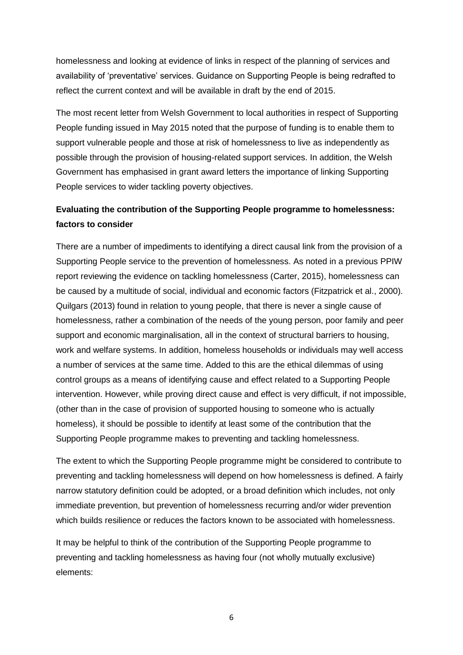homelessness and looking at evidence of links in respect of the planning of services and availability of 'preventative' services. Guidance on Supporting People is being redrafted to reflect the current context and will be available in draft by the end of 2015.

The most recent letter from Welsh Government to local authorities in respect of Supporting People funding issued in May 2015 noted that the purpose of funding is to enable them to support vulnerable people and those at risk of homelessness to live as independently as possible through the provision of housing-related support services. In addition, the Welsh Government has emphasised in grant award letters the importance of linking Supporting People services to wider tackling poverty objectives.

### **Evaluating the contribution of the Supporting People programme to homelessness: factors to consider**

There are a number of impediments to identifying a direct causal link from the provision of a Supporting People service to the prevention of homelessness. As noted in a previous PPIW report reviewing the evidence on tackling homelessness (Carter, 2015), homelessness can be caused by a multitude of social, individual and economic factors (Fitzpatrick et al., 2000). Quilgars (2013) found in relation to young people, that there is never a single cause of homelessness, rather a combination of the needs of the young person, poor family and peer support and economic marginalisation, all in the context of structural barriers to housing, work and welfare systems. In addition, homeless households or individuals may well access a number of services at the same time. Added to this are the ethical dilemmas of using control groups as a means of identifying cause and effect related to a Supporting People intervention. However, while proving direct cause and effect is very difficult, if not impossible, (other than in the case of provision of supported housing to someone who is actually homeless), it should be possible to identify at least some of the contribution that the Supporting People programme makes to preventing and tackling homelessness.

The extent to which the Supporting People programme might be considered to contribute to preventing and tackling homelessness will depend on how homelessness is defined. A fairly narrow statutory definition could be adopted, or a broad definition which includes, not only immediate prevention, but prevention of homelessness recurring and/or wider prevention which builds resilience or reduces the factors known to be associated with homelessness.

It may be helpful to think of the contribution of the Supporting People programme to preventing and tackling homelessness as having four (not wholly mutually exclusive) elements: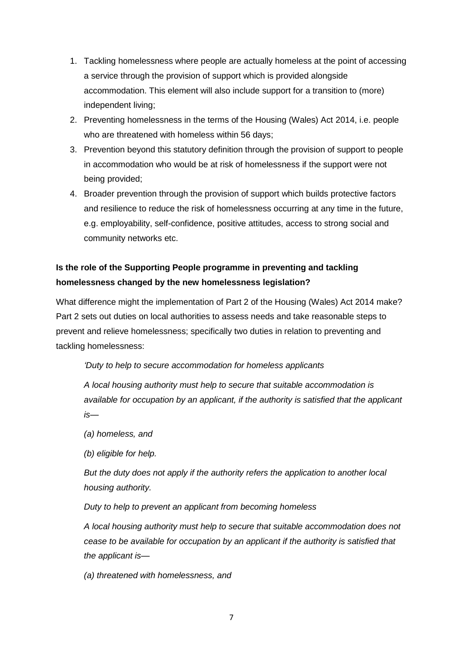- 1. Tackling homelessness where people are actually homeless at the point of accessing a service through the provision of support which is provided alongside accommodation. This element will also include support for a transition to (more) independent living;
- 2. Preventing homelessness in the terms of the Housing (Wales) Act 2014, i.e. people who are threatened with homeless within 56 days;
- 3. Prevention beyond this statutory definition through the provision of support to people in accommodation who would be at risk of homelessness if the support were not being provided;
- 4. Broader prevention through the provision of support which builds protective factors and resilience to reduce the risk of homelessness occurring at any time in the future, e.g. employability, self-confidence, positive attitudes, access to strong social and community networks etc.

### **Is the role of the Supporting People programme in preventing and tackling homelessness changed by the new homelessness legislation?**

What difference might the implementation of Part 2 of the Housing (Wales) Act 2014 make? Part 2 sets out duties on local authorities to assess needs and take reasonable steps to prevent and relieve homelessness; specifically two duties in relation to preventing and tackling homelessness:

*'Duty to help to secure accommodation for homeless applicants*

*A local housing authority must help to secure that suitable accommodation is available for occupation by an applicant, if the authority is satisfied that the applicant is—*

*(a) homeless, and*

*(b) eligible for help.*

*But the duty does not apply if the authority refers the application to another local housing authority.*

*Duty to help to prevent an applicant from becoming homeless*

*A local housing authority must help to secure that suitable accommodation does not cease to be available for occupation by an applicant if the authority is satisfied that the applicant is—*

*(a) threatened with homelessness, and*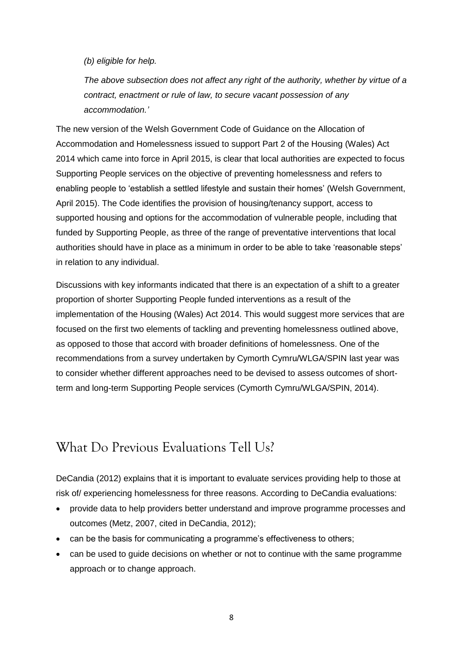*(b) eligible for help.*

*The above subsection does not affect any right of the authority, whether by virtue of a contract, enactment or rule of law, to secure vacant possession of any accommodation.'*

The new version of the Welsh Government Code of Guidance on the Allocation of Accommodation and Homelessness issued to support Part 2 of the Housing (Wales) Act 2014 which came into force in April 2015, is clear that local authorities are expected to focus Supporting People services on the objective of preventing homelessness and refers to enabling people to 'establish a settled lifestyle and sustain their homes' (Welsh Government, April 2015). The Code identifies the provision of housing/tenancy support, access to supported housing and options for the accommodation of vulnerable people, including that funded by Supporting People, as three of the range of preventative interventions that local authorities should have in place as a minimum in order to be able to take 'reasonable steps' in relation to any individual.

Discussions with key informants indicated that there is an expectation of a shift to a greater proportion of shorter Supporting People funded interventions as a result of the implementation of the Housing (Wales) Act 2014. This would suggest more services that are focused on the first two elements of tackling and preventing homelessness outlined above, as opposed to those that accord with broader definitions of homelessness. One of the recommendations from a survey undertaken by Cymorth Cymru/WLGA/SPIN last year was to consider whether different approaches need to be devised to assess outcomes of shortterm and long-term Supporting People services (Cymorth Cymru/WLGA/SPIN, 2014).

## What Do Previous Evaluations Tell Us?

DeCandia (2012) explains that it is important to evaluate services providing help to those at risk of/ experiencing homelessness for three reasons. According to DeCandia evaluations:

- provide data to help providers better understand and improve programme processes and outcomes (Metz, 2007, cited in DeCandia, 2012);
- can be the basis for communicating a programme's effectiveness to others;
- can be used to guide decisions on whether or not to continue with the same programme approach or to change approach.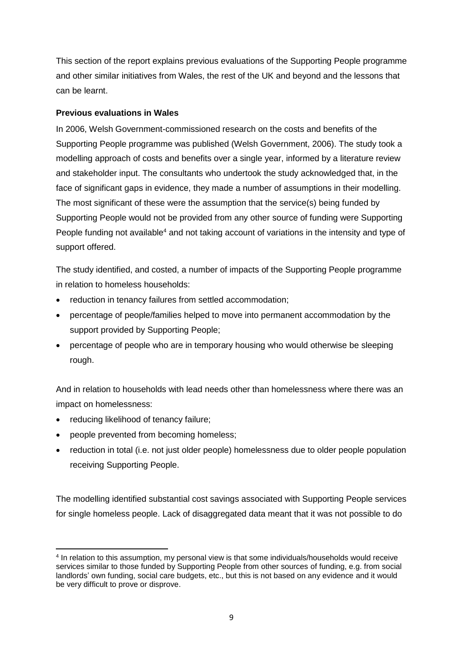This section of the report explains previous evaluations of the Supporting People programme and other similar initiatives from Wales, the rest of the UK and beyond and the lessons that can be learnt.

#### **Previous evaluations in Wales**

In 2006, Welsh Government-commissioned research on the costs and benefits of the Supporting People programme was published (Welsh Government, 2006). The study took a modelling approach of costs and benefits over a single year, informed by a literature review and stakeholder input. The consultants who undertook the study acknowledged that, in the face of significant gaps in evidence, they made a number of assumptions in their modelling. The most significant of these were the assumption that the service(s) being funded by Supporting People would not be provided from any other source of funding were Supporting People funding not available<sup>4</sup> and not taking account of variations in the intensity and type of support offered.

The study identified, and costed, a number of impacts of the Supporting People programme in relation to homeless households:

- reduction in tenancy failures from settled accommodation;
- percentage of people/families helped to move into permanent accommodation by the support provided by Supporting People;
- percentage of people who are in temporary housing who would otherwise be sleeping rough.

And in relation to households with lead needs other than homelessness where there was an impact on homelessness:

- reducing likelihood of tenancy failure;
- people prevented from becoming homeless;
- reduction in total (i.e. not just older people) homelessness due to older people population receiving Supporting People.

The modelling identified substantial cost savings associated with Supporting People services for single homeless people. Lack of disaggregated data meant that it was not possible to do

**<sup>.</sup>** 4 In relation to this assumption, my personal view is that some individuals/households would receive services similar to those funded by Supporting People from other sources of funding, e.g. from social landlords' own funding, social care budgets, etc., but this is not based on any evidence and it would be very difficult to prove or disprove.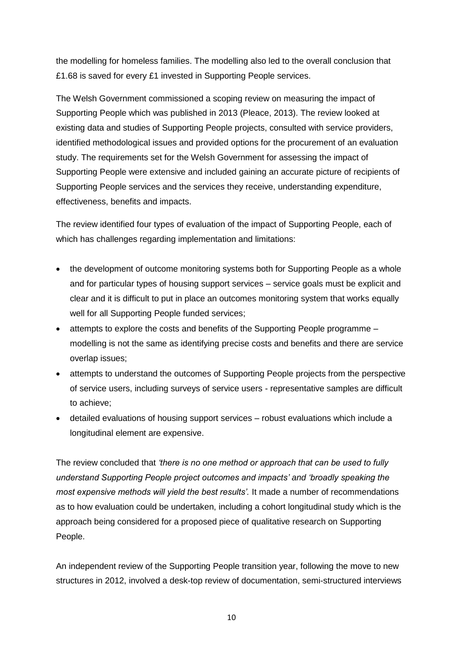the modelling for homeless families. The modelling also led to the overall conclusion that £1.68 is saved for every £1 invested in Supporting People services.

The Welsh Government commissioned a scoping review on measuring the impact of Supporting People which was published in 2013 (Pleace, 2013). The review looked at existing data and studies of Supporting People projects, consulted with service providers, identified methodological issues and provided options for the procurement of an evaluation study. The requirements set for the Welsh Government for assessing the impact of Supporting People were extensive and included gaining an accurate picture of recipients of Supporting People services and the services they receive, understanding expenditure, effectiveness, benefits and impacts.

The review identified four types of evaluation of the impact of Supporting People, each of which has challenges regarding implementation and limitations:

- the development of outcome monitoring systems both for Supporting People as a whole and for particular types of housing support services – service goals must be explicit and clear and it is difficult to put in place an outcomes monitoring system that works equally well for all Supporting People funded services;
- attempts to explore the costs and benefits of the Supporting People programme modelling is not the same as identifying precise costs and benefits and there are service overlap issues;
- attempts to understand the outcomes of Supporting People projects from the perspective of service users, including surveys of service users - representative samples are difficult to achieve;
- detailed evaluations of housing support services robust evaluations which include a longitudinal element are expensive.

The review concluded that *'there is no one method or approach that can be used to fully understand Supporting People project outcomes and impacts' and 'broadly speaking the most expensive methods will yield the best results'.* It made a number of recommendations as to how evaluation could be undertaken, including a cohort longitudinal study which is the approach being considered for a proposed piece of qualitative research on Supporting People.

An independent review of the Supporting People transition year, following the move to new structures in 2012, involved a desk-top review of documentation, semi-structured interviews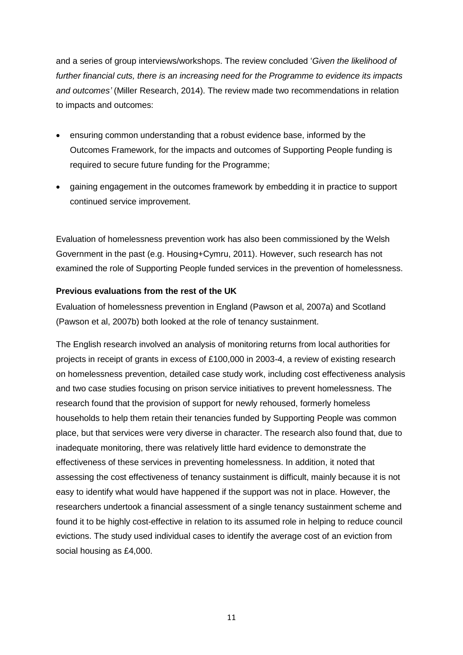and a series of group interviews/workshops. The review concluded '*Given the likelihood of further financial cuts, there is an increasing need for the Programme to evidence its impacts and outcomes'* (Miller Research, 2014). The review made two recommendations in relation to impacts and outcomes:

- ensuring common understanding that a robust evidence base, informed by the Outcomes Framework, for the impacts and outcomes of Supporting People funding is required to secure future funding for the Programme;
- gaining engagement in the outcomes framework by embedding it in practice to support continued service improvement.

Evaluation of homelessness prevention work has also been commissioned by the Welsh Government in the past (e.g. Housing+Cymru, 2011). However, such research has not examined the role of Supporting People funded services in the prevention of homelessness.

#### **Previous evaluations from the rest of the UK**

Evaluation of homelessness prevention in England (Pawson et al, 2007a) and Scotland (Pawson et al, 2007b) both looked at the role of tenancy sustainment.

The English research involved an analysis of monitoring returns from local authorities for projects in receipt of grants in excess of £100,000 in 2003-4, a review of existing research on homelessness prevention, detailed case study work, including cost effectiveness analysis and two case studies focusing on prison service initiatives to prevent homelessness. The research found that the provision of support for newly rehoused, formerly homeless households to help them retain their tenancies funded by Supporting People was common place, but that services were very diverse in character. The research also found that, due to inadequate monitoring, there was relatively little hard evidence to demonstrate the effectiveness of these services in preventing homelessness. In addition, it noted that assessing the cost effectiveness of tenancy sustainment is difficult, mainly because it is not easy to identify what would have happened if the support was not in place. However, the researchers undertook a financial assessment of a single tenancy sustainment scheme and found it to be highly cost-effective in relation to its assumed role in helping to reduce council evictions. The study used individual cases to identify the average cost of an eviction from social housing as £4,000.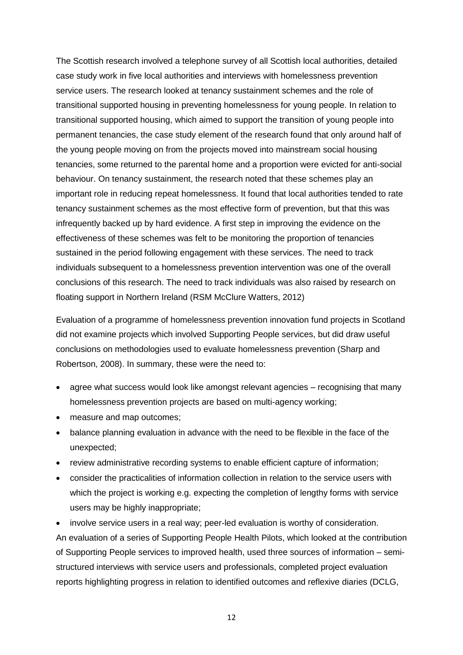The Scottish research involved a telephone survey of all Scottish local authorities, detailed case study work in five local authorities and interviews with homelessness prevention service users. The research looked at tenancy sustainment schemes and the role of transitional supported housing in preventing homelessness for young people. In relation to transitional supported housing, which aimed to support the transition of young people into permanent tenancies, the case study element of the research found that only around half of the young people moving on from the projects moved into mainstream social housing tenancies, some returned to the parental home and a proportion were evicted for anti-social behaviour. On tenancy sustainment, the research noted that these schemes play an important role in reducing repeat homelessness. It found that local authorities tended to rate tenancy sustainment schemes as the most effective form of prevention, but that this was infrequently backed up by hard evidence. A first step in improving the evidence on the effectiveness of these schemes was felt to be monitoring the proportion of tenancies sustained in the period following engagement with these services. The need to track individuals subsequent to a homelessness prevention intervention was one of the overall conclusions of this research. The need to track individuals was also raised by research on floating support in Northern Ireland (RSM McClure Watters, 2012)

Evaluation of a programme of homelessness prevention innovation fund projects in Scotland did not examine projects which involved Supporting People services, but did draw useful conclusions on methodologies used to evaluate homelessness prevention (Sharp and Robertson, 2008). In summary, these were the need to:

- agree what success would look like amongst relevant agencies recognising that many homelessness prevention projects are based on multi-agency working;
- measure and map outcomes;
- balance planning evaluation in advance with the need to be flexible in the face of the unexpected;
- review administrative recording systems to enable efficient capture of information;
- consider the practicalities of information collection in relation to the service users with which the project is working e.g. expecting the completion of lengthy forms with service users may be highly inappropriate;
- involve service users in a real way; peer-led evaluation is worthy of consideration.

An evaluation of a series of Supporting People Health Pilots, which looked at the contribution of Supporting People services to improved health, used three sources of information – semistructured interviews with service users and professionals, completed project evaluation reports highlighting progress in relation to identified outcomes and reflexive diaries (DCLG,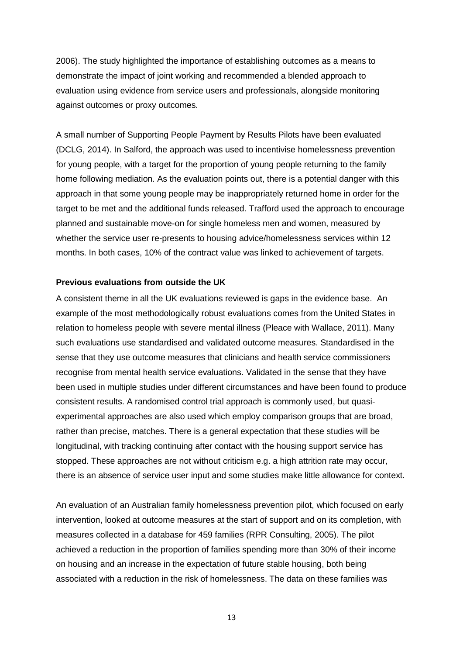2006). The study highlighted the importance of establishing outcomes as a means to demonstrate the impact of joint working and recommended a blended approach to evaluation using evidence from service users and professionals, alongside monitoring against outcomes or proxy outcomes.

A small number of Supporting People Payment by Results Pilots have been evaluated (DCLG, 2014). In Salford, the approach was used to incentivise homelessness prevention for young people, with a target for the proportion of young people returning to the family home following mediation. As the evaluation points out, there is a potential danger with this approach in that some young people may be inappropriately returned home in order for the target to be met and the additional funds released. Trafford used the approach to encourage planned and sustainable move-on for single homeless men and women, measured by whether the service user re-presents to housing advice/homelessness services within 12 months. In both cases, 10% of the contract value was linked to achievement of targets.

#### **Previous evaluations from outside the UK**

A consistent theme in all the UK evaluations reviewed is gaps in the evidence base. An example of the most methodologically robust evaluations comes from the United States in relation to homeless people with severe mental illness (Pleace with Wallace, 2011). Many such evaluations use standardised and validated outcome measures. Standardised in the sense that they use outcome measures that clinicians and health service commissioners recognise from mental health service evaluations. Validated in the sense that they have been used in multiple studies under different circumstances and have been found to produce consistent results. A randomised control trial approach is commonly used, but quasiexperimental approaches are also used which employ comparison groups that are broad, rather than precise, matches. There is a general expectation that these studies will be longitudinal, with tracking continuing after contact with the housing support service has stopped. These approaches are not without criticism e.g. a high attrition rate may occur, there is an absence of service user input and some studies make little allowance for context.

An evaluation of an Australian family homelessness prevention pilot, which focused on early intervention, looked at outcome measures at the start of support and on its completion, with measures collected in a database for 459 families (RPR Consulting, 2005). The pilot achieved a reduction in the proportion of families spending more than 30% of their income on housing and an increase in the expectation of future stable housing, both being associated with a reduction in the risk of homelessness. The data on these families was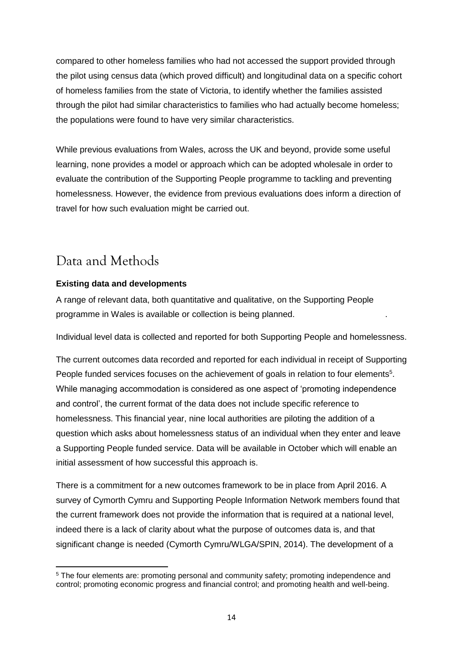compared to other homeless families who had not accessed the support provided through the pilot using census data (which proved difficult) and longitudinal data on a specific cohort of homeless families from the state of Victoria, to identify whether the families assisted through the pilot had similar characteristics to families who had actually become homeless; the populations were found to have very similar characteristics.

While previous evaluations from Wales, across the UK and beyond, provide some useful learning, none provides a model or approach which can be adopted wholesale in order to evaluate the contribution of the Supporting People programme to tackling and preventing homelessness. However, the evidence from previous evaluations does inform a direction of travel for how such evaluation might be carried out.

# Data and Methods

### **Existing data and developments**

A range of relevant data, both quantitative and qualitative, on the Supporting People programme in Wales is available or collection is being planned. .

Individual level data is collected and reported for both Supporting People and homelessness.

The current outcomes data recorded and reported for each individual in receipt of Supporting People funded services focuses on the achievement of goals in relation to four elements<sup>5</sup>. While managing accommodation is considered as one aspect of 'promoting independence and control', the current format of the data does not include specific reference to homelessness. This financial year, nine local authorities are piloting the addition of a question which asks about homelessness status of an individual when they enter and leave a Supporting People funded service. Data will be available in October which will enable an initial assessment of how successful this approach is.

There is a commitment for a new outcomes framework to be in place from April 2016. A survey of Cymorth Cymru and Supporting People Information Network members found that the current framework does not provide the information that is required at a national level, indeed there is a lack of clarity about what the purpose of outcomes data is, and that significant change is needed (Cymorth Cymru/WLGA/SPIN, 2014). The development of a

<sup>1</sup> <sup>5</sup> The four elements are: promoting personal and community safety; promoting independence and control; promoting economic progress and financial control; and promoting health and well-being.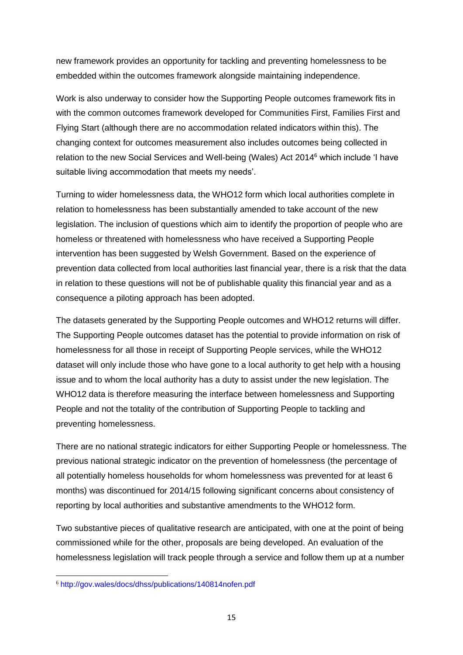new framework provides an opportunity for tackling and preventing homelessness to be embedded within the outcomes framework alongside maintaining independence.

Work is also underway to consider how the Supporting People outcomes framework fits in with the common outcomes framework developed for Communities First, Families First and Flying Start (although there are no accommodation related indicators within this). The changing context for outcomes measurement also includes outcomes being collected in relation to the new Social Services and Well-being (Wales) Act 2014<sup>6</sup> which include 'I have suitable living accommodation that meets my needs'.

Turning to wider homelessness data, the WHO12 form which local authorities complete in relation to homelessness has been substantially amended to take account of the new legislation. The inclusion of questions which aim to identify the proportion of people who are homeless or threatened with homelessness who have received a Supporting People intervention has been suggested by Welsh Government. Based on the experience of prevention data collected from local authorities last financial year, there is a risk that the data in relation to these questions will not be of publishable quality this financial year and as a consequence a piloting approach has been adopted.

The datasets generated by the Supporting People outcomes and WHO12 returns will differ. The Supporting People outcomes dataset has the potential to provide information on risk of homelessness for all those in receipt of Supporting People services, while the WHO12 dataset will only include those who have gone to a local authority to get help with a housing issue and to whom the local authority has a duty to assist under the new legislation. The WHO12 data is therefore measuring the interface between homelessness and Supporting People and not the totality of the contribution of Supporting People to tackling and preventing homelessness.

There are no national strategic indicators for either Supporting People or homelessness. The previous national strategic indicator on the prevention of homelessness (the percentage of all potentially homeless households for whom homelessness was prevented for at least 6 months) was discontinued for 2014/15 following significant concerns about consistency of reporting by local authorities and substantive amendments to the WHO12 form.

Two substantive pieces of qualitative research are anticipated, with one at the point of being commissioned while for the other, proposals are being developed. An evaluation of the homelessness legislation will track people through a service and follow them up at a number

**<sup>.</sup>** <sup>6</sup> <http://gov.wales/docs/dhss/publications/140814nofen.pdf>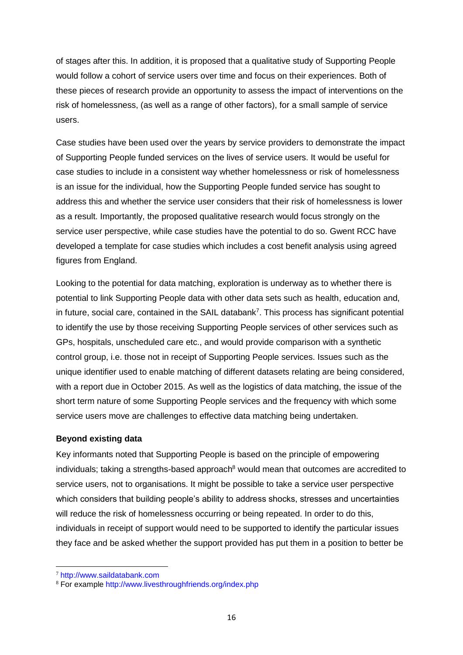of stages after this. In addition, it is proposed that a qualitative study of Supporting People would follow a cohort of service users over time and focus on their experiences. Both of these pieces of research provide an opportunity to assess the impact of interventions on the risk of homelessness, (as well as a range of other factors), for a small sample of service users.

Case studies have been used over the years by service providers to demonstrate the impact of Supporting People funded services on the lives of service users. It would be useful for case studies to include in a consistent way whether homelessness or risk of homelessness is an issue for the individual, how the Supporting People funded service has sought to address this and whether the service user considers that their risk of homelessness is lower as a result. Importantly, the proposed qualitative research would focus strongly on the service user perspective, while case studies have the potential to do so. Gwent RCC have developed a template for case studies which includes a cost benefit analysis using agreed figures from England.

Looking to the potential for data matching, exploration is underway as to whether there is potential to link Supporting People data with other data sets such as health, education and, in future, social care, contained in the SAIL databank<sup>7</sup>. This process has significant potential to identify the use by those receiving Supporting People services of other services such as GPs, hospitals, unscheduled care etc., and would provide comparison with a synthetic control group, i.e. those not in receipt of Supporting People services. Issues such as the unique identifier used to enable matching of different datasets relating are being considered, with a report due in October 2015. As well as the logistics of data matching, the issue of the short term nature of some Supporting People services and the frequency with which some service users move are challenges to effective data matching being undertaken.

#### **Beyond existing data**

Key informants noted that Supporting People is based on the principle of empowering individuals; taking a strengths-based approach $8$  would mean that outcomes are accredited to service users, not to organisations. It might be possible to take a service user perspective which considers that building people's ability to address shocks, stresses and uncertainties will reduce the risk of homelessness occurring or being repeated. In order to do this, individuals in receipt of support would need to be supported to identify the particular issues they face and be asked whether the support provided has put them in a position to better be

**.** 

<sup>7</sup> [http://www.saildatabank.com](http://www.saildatabank.com/)

<sup>8</sup> For example<http://www.livesthroughfriends.org/index.php>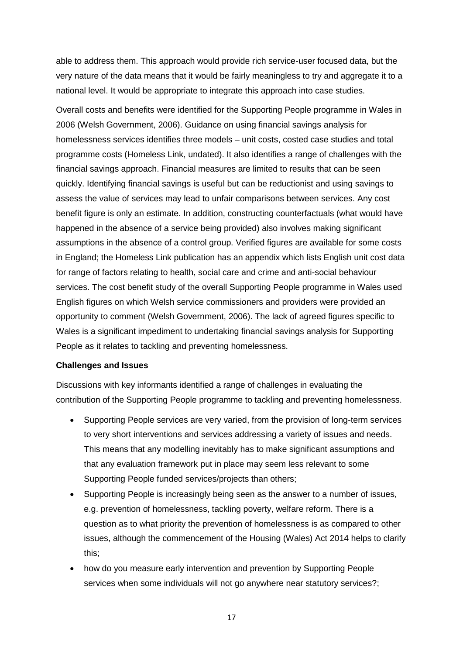able to address them. This approach would provide rich service-user focused data, but the very nature of the data means that it would be fairly meaningless to try and aggregate it to a national level. It would be appropriate to integrate this approach into case studies.

Overall costs and benefits were identified for the Supporting People programme in Wales in 2006 (Welsh Government, 2006). Guidance on using financial savings analysis for homelessness services identifies three models – unit costs, costed case studies and total programme costs (Homeless Link, undated). It also identifies a range of challenges with the financial savings approach. Financial measures are limited to results that can be seen quickly. Identifying financial savings is useful but can be reductionist and using savings to assess the value of services may lead to unfair comparisons between services. Any cost benefit figure is only an estimate. In addition, constructing counterfactuals (what would have happened in the absence of a service being provided) also involves making significant assumptions in the absence of a control group. Verified figures are available for some costs in England; the Homeless Link publication has an appendix which lists English unit cost data for range of factors relating to health, social care and crime and anti-social behaviour services. The cost benefit study of the overall Supporting People programme in Wales used English figures on which Welsh service commissioners and providers were provided an opportunity to comment (Welsh Government, 2006). The lack of agreed figures specific to Wales is a significant impediment to undertaking financial savings analysis for Supporting People as it relates to tackling and preventing homelessness.

#### **Challenges and Issues**

Discussions with key informants identified a range of challenges in evaluating the contribution of the Supporting People programme to tackling and preventing homelessness.

- Supporting People services are very varied, from the provision of long-term services to very short interventions and services addressing a variety of issues and needs. This means that any modelling inevitably has to make significant assumptions and that any evaluation framework put in place may seem less relevant to some Supporting People funded services/projects than others;
- Supporting People is increasingly being seen as the answer to a number of issues, e.g. prevention of homelessness, tackling poverty, welfare reform. There is a question as to what priority the prevention of homelessness is as compared to other issues, although the commencement of the Housing (Wales) Act 2014 helps to clarify this;
- how do you measure early intervention and prevention by Supporting People services when some individuals will not go anywhere near statutory services?;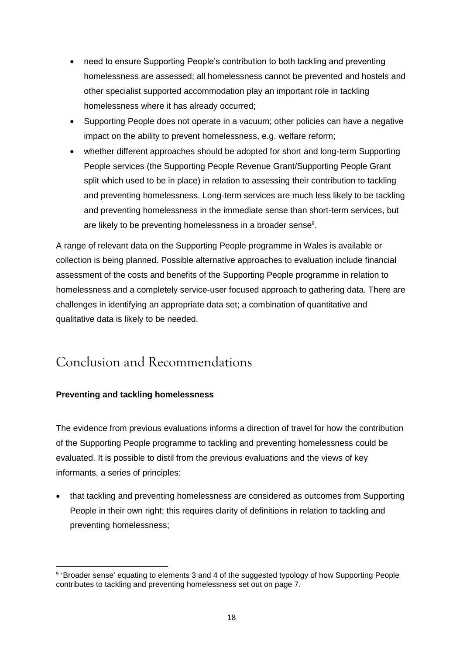- need to ensure Supporting People's contribution to both tackling and preventing homelessness are assessed; all homelessness cannot be prevented and hostels and other specialist supported accommodation play an important role in tackling homelessness where it has already occurred;
- Supporting People does not operate in a vacuum; other policies can have a negative impact on the ability to prevent homelessness, e.g. welfare reform;
- whether different approaches should be adopted for short and long-term Supporting People services (the Supporting People Revenue Grant/Supporting People Grant split which used to be in place) in relation to assessing their contribution to tackling and preventing homelessness. Long-term services are much less likely to be tackling and preventing homelessness in the immediate sense than short-term services, but are likely to be preventing homelessness in a broader sense<sup>9</sup>.

A range of relevant data on the Supporting People programme in Wales is available or collection is being planned. Possible alternative approaches to evaluation include financial assessment of the costs and benefits of the Supporting People programme in relation to homelessness and a completely service-user focused approach to gathering data. There are challenges in identifying an appropriate data set; a combination of quantitative and qualitative data is likely to be needed.

## Conclusion and Recommendations

### **Preventing and tackling homelessness**

The evidence from previous evaluations informs a direction of travel for how the contribution of the Supporting People programme to tackling and preventing homelessness could be evaluated. It is possible to distil from the previous evaluations and the views of key informants, a series of principles:

 that tackling and preventing homelessness are considered as outcomes from Supporting People in their own right; this requires clarity of definitions in relation to tackling and preventing homelessness;

**<sup>.</sup>** <sup>9</sup> 'Broader sense' equating to elements 3 and 4 of the suggested typology of how Supporting People contributes to tackling and preventing homelessness set out on page 7.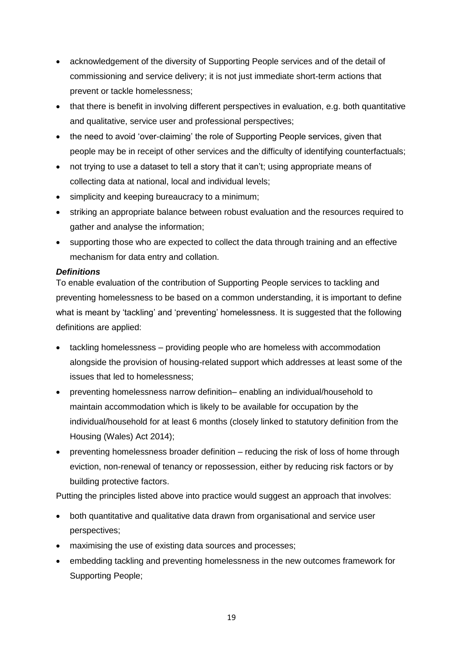- acknowledgement of the diversity of Supporting People services and of the detail of commissioning and service delivery; it is not just immediate short-term actions that prevent or tackle homelessness;
- that there is benefit in involving different perspectives in evaluation, e.g. both quantitative and qualitative, service user and professional perspectives;
- the need to avoid 'over-claiming' the role of Supporting People services, given that people may be in receipt of other services and the difficulty of identifying counterfactuals;
- not trying to use a dataset to tell a story that it can't; using appropriate means of collecting data at national, local and individual levels;
- simplicity and keeping bureaucracy to a minimum;
- striking an appropriate balance between robust evaluation and the resources required to gather and analyse the information;
- supporting those who are expected to collect the data through training and an effective mechanism for data entry and collation.

#### *Definitions*

To enable evaluation of the contribution of Supporting People services to tackling and preventing homelessness to be based on a common understanding, it is important to define what is meant by 'tackling' and 'preventing' homelessness. It is suggested that the following definitions are applied:

- tackling homelessness providing people who are homeless with accommodation alongside the provision of housing-related support which addresses at least some of the issues that led to homelessness;
- preventing homelessness narrow definition– enabling an individual/household to maintain accommodation which is likely to be available for occupation by the individual/household for at least 6 months (closely linked to statutory definition from the Housing (Wales) Act 2014);
- preventing homelessness broader definition reducing the risk of loss of home through eviction, non-renewal of tenancy or repossession, either by reducing risk factors or by building protective factors.

Putting the principles listed above into practice would suggest an approach that involves:

- both quantitative and qualitative data drawn from organisational and service user perspectives;
- maximising the use of existing data sources and processes;
- embedding tackling and preventing homelessness in the new outcomes framework for Supporting People;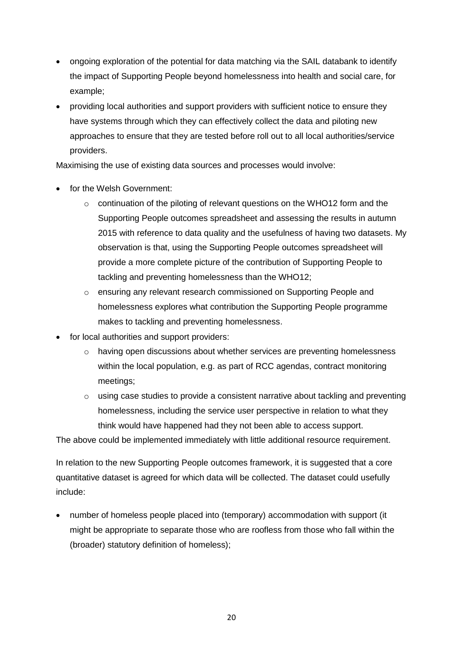- ongoing exploration of the potential for data matching via the SAIL databank to identify the impact of Supporting People beyond homelessness into health and social care, for example;
- providing local authorities and support providers with sufficient notice to ensure they have systems through which they can effectively collect the data and piloting new approaches to ensure that they are tested before roll out to all local authorities/service providers.

Maximising the use of existing data sources and processes would involve:

- for the Welsh Government:
	- $\circ$  continuation of the piloting of relevant questions on the WHO12 form and the Supporting People outcomes spreadsheet and assessing the results in autumn 2015 with reference to data quality and the usefulness of having two datasets. My observation is that, using the Supporting People outcomes spreadsheet will provide a more complete picture of the contribution of Supporting People to tackling and preventing homelessness than the WHO12;
	- o ensuring any relevant research commissioned on Supporting People and homelessness explores what contribution the Supporting People programme makes to tackling and preventing homelessness.
- for local authorities and support providers:
	- $\circ$  having open discussions about whether services are preventing homelessness within the local population, e.g. as part of RCC agendas, contract monitoring meetings;
	- $\circ$  using case studies to provide a consistent narrative about tackling and preventing homelessness, including the service user perspective in relation to what they think would have happened had they not been able to access support.

The above could be implemented immediately with little additional resource requirement.

In relation to the new Supporting People outcomes framework, it is suggested that a core quantitative dataset is agreed for which data will be collected. The dataset could usefully include:

 number of homeless people placed into (temporary) accommodation with support (it might be appropriate to separate those who are roofless from those who fall within the (broader) statutory definition of homeless);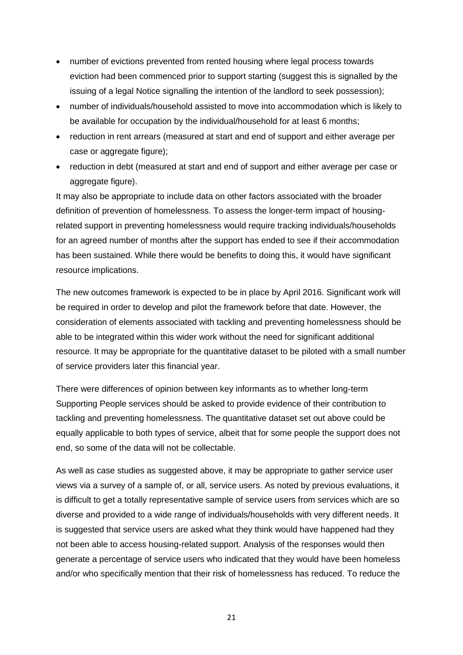- number of evictions prevented from rented housing where legal process towards eviction had been commenced prior to support starting (suggest this is signalled by the issuing of a legal Notice signalling the intention of the landlord to seek possession);
- number of individuals/household assisted to move into accommodation which is likely to be available for occupation by the individual/household for at least 6 months;
- reduction in rent arrears (measured at start and end of support and either average per case or aggregate figure);
- reduction in debt (measured at start and end of support and either average per case or aggregate figure).

It may also be appropriate to include data on other factors associated with the broader definition of prevention of homelessness. To assess the longer-term impact of housingrelated support in preventing homelessness would require tracking individuals/households for an agreed number of months after the support has ended to see if their accommodation has been sustained. While there would be benefits to doing this, it would have significant resource implications.

The new outcomes framework is expected to be in place by April 2016. Significant work will be required in order to develop and pilot the framework before that date. However, the consideration of elements associated with tackling and preventing homelessness should be able to be integrated within this wider work without the need for significant additional resource. It may be appropriate for the quantitative dataset to be piloted with a small number of service providers later this financial year.

There were differences of opinion between key informants as to whether long-term Supporting People services should be asked to provide evidence of their contribution to tackling and preventing homelessness. The quantitative dataset set out above could be equally applicable to both types of service, albeit that for some people the support does not end, so some of the data will not be collectable.

As well as case studies as suggested above, it may be appropriate to gather service user views via a survey of a sample of, or all, service users. As noted by previous evaluations, it is difficult to get a totally representative sample of service users from services which are so diverse and provided to a wide range of individuals/households with very different needs. It is suggested that service users are asked what they think would have happened had they not been able to access housing-related support. Analysis of the responses would then generate a percentage of service users who indicated that they would have been homeless and/or who specifically mention that their risk of homelessness has reduced. To reduce the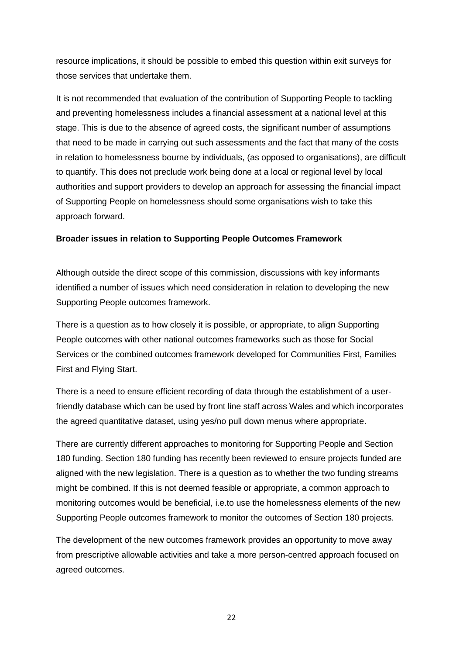resource implications, it should be possible to embed this question within exit surveys for those services that undertake them.

It is not recommended that evaluation of the contribution of Supporting People to tackling and preventing homelessness includes a financial assessment at a national level at this stage. This is due to the absence of agreed costs, the significant number of assumptions that need to be made in carrying out such assessments and the fact that many of the costs in relation to homelessness bourne by individuals, (as opposed to organisations), are difficult to quantify. This does not preclude work being done at a local or regional level by local authorities and support providers to develop an approach for assessing the financial impact of Supporting People on homelessness should some organisations wish to take this approach forward.

#### **Broader issues in relation to Supporting People Outcomes Framework**

Although outside the direct scope of this commission, discussions with key informants identified a number of issues which need consideration in relation to developing the new Supporting People outcomes framework.

There is a question as to how closely it is possible, or appropriate, to align Supporting People outcomes with other national outcomes frameworks such as those for Social Services or the combined outcomes framework developed for Communities First, Families First and Flying Start.

There is a need to ensure efficient recording of data through the establishment of a userfriendly database which can be used by front line staff across Wales and which incorporates the agreed quantitative dataset, using yes/no pull down menus where appropriate.

There are currently different approaches to monitoring for Supporting People and Section 180 funding. Section 180 funding has recently been reviewed to ensure projects funded are aligned with the new legislation. There is a question as to whether the two funding streams might be combined. If this is not deemed feasible or appropriate, a common approach to monitoring outcomes would be beneficial, i.e.to use the homelessness elements of the new Supporting People outcomes framework to monitor the outcomes of Section 180 projects.

The development of the new outcomes framework provides an opportunity to move away from prescriptive allowable activities and take a more person-centred approach focused on agreed outcomes.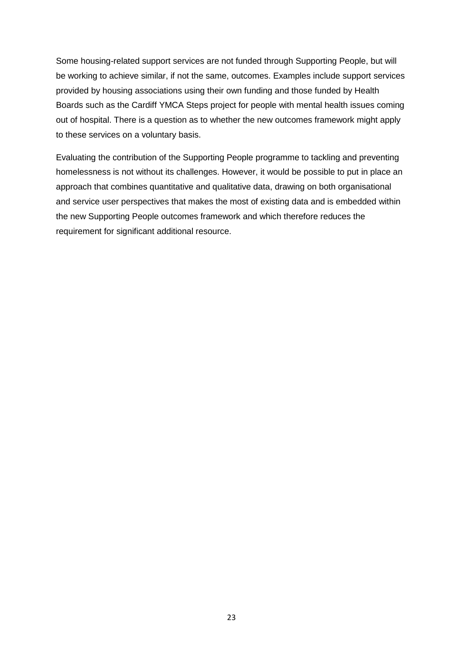Some housing-related support services are not funded through Supporting People, but will be working to achieve similar, if not the same, outcomes. Examples include support services provided by housing associations using their own funding and those funded by Health Boards such as the Cardiff YMCA Steps project for people with mental health issues coming out of hospital. There is a question as to whether the new outcomes framework might apply to these services on a voluntary basis.

Evaluating the contribution of the Supporting People programme to tackling and preventing homelessness is not without its challenges. However, it would be possible to put in place an approach that combines quantitative and qualitative data, drawing on both organisational and service user perspectives that makes the most of existing data and is embedded within the new Supporting People outcomes framework and which therefore reduces the requirement for significant additional resource.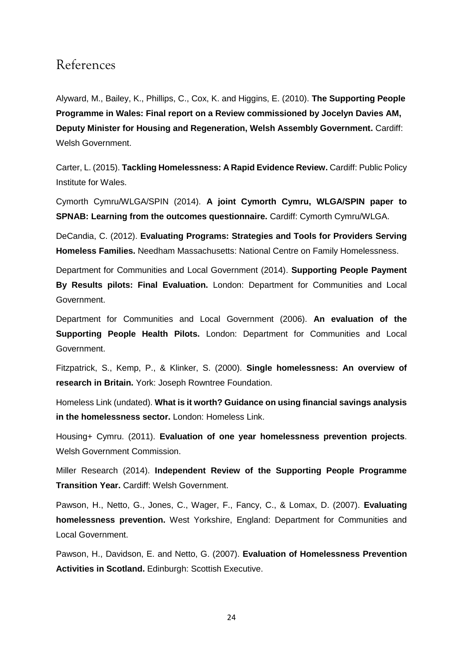## References

Alyward, M., Bailey, K., Phillips, C., Cox, K. and Higgins, E. (2010). **The Supporting People Programme in Wales: Final report on a Review commissioned by Jocelyn Davies AM, Deputy Minister for Housing and Regeneration, Welsh Assembly Government.** Cardiff: Welsh Government.

Carter, L. (2015). **Tackling Homelessness: A Rapid Evidence Review.** Cardiff: Public Policy Institute for Wales.

Cymorth Cymru/WLGA/SPIN (2014). **A joint Cymorth Cymru, WLGA/SPIN paper to SPNAB: Learning from the outcomes questionnaire.** Cardiff: Cymorth Cymru/WLGA.

DeCandia, C. (2012). **Evaluating Programs: Strategies and Tools for Providers Serving Homeless Families.** Needham Massachusetts: National Centre on Family Homelessness.

Department for Communities and Local Government (2014). **Supporting People Payment By Results pilots: Final Evaluation.** London: Department for Communities and Local Government.

Department for Communities and Local Government (2006). **An evaluation of the Supporting People Health Pilots.** London: Department for Communities and Local Government.

Fitzpatrick, S., Kemp, P., & Klinker, S. (2000). **Single homelessness: An overview of research in Britain.** York: Joseph Rowntree Foundation.

Homeless Link (undated). **What is it worth? Guidance on using financial savings analysis in the homelessness sector.** London: Homeless Link.

Housing+ Cymru. (2011). **Evaluation of one year homelessness prevention projects**. Welsh Government Commission.

Miller Research (2014). **Independent Review of the Supporting People Programme Transition Year.** Cardiff: Welsh Government.

Pawson, H., Netto, G., Jones, C., Wager, F., Fancy, C., & Lomax, D. (2007). **Evaluating homelessness prevention.** West Yorkshire, England: Department for Communities and Local Government.

Pawson, H., Davidson, E. and Netto, G. (2007). **Evaluation of Homelessness Prevention Activities in Scotland.** Edinburgh: Scottish Executive.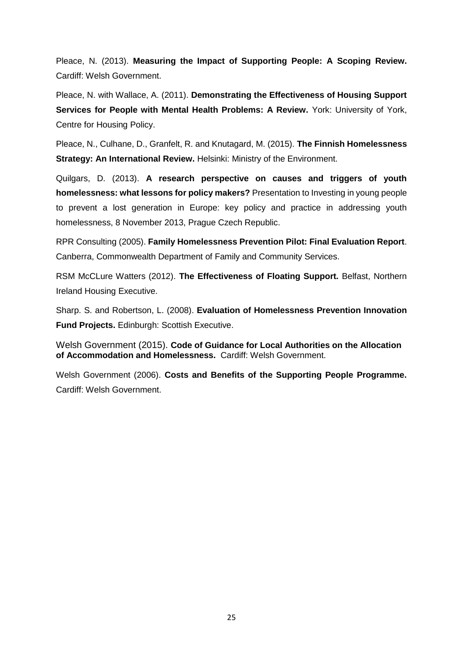Pleace, N. (2013). **Measuring the Impact of Supporting People: A Scoping Review.**  Cardiff: Welsh Government.

Pleace, N. with Wallace, A. (2011). **Demonstrating the Effectiveness of Housing Support Services for People with Mental Health Problems: A Review.** York: University of York, Centre for Housing Policy.

Pleace, N., Culhane, D., Granfelt, R. and Knutagard, M. (2015). **The Finnish Homelessness Strategy: An International Review.** Helsinki: Ministry of the Environment.

Quilgars, D. (2013). **A research perspective on causes and triggers of youth homelessness: what lessons for policy makers?** Presentation to Investing in young people to prevent a lost generation in Europe: key policy and practice in addressing youth homelessness, 8 November 2013, Prague Czech Republic.

RPR Consulting (2005). **Family Homelessness Prevention Pilot: Final Evaluation Report**. Canberra, Commonwealth Department of Family and Community Services.

RSM McCLure Watters (2012). **The Effectiveness of Floating Support.** Belfast, Northern Ireland Housing Executive.

Sharp. S. and Robertson, L. (2008). **Evaluation of Homelessness Prevention Innovation Fund Projects.** Edinburgh: Scottish Executive.

Welsh Government (2015). **Code of Guidance for Local Authorities on the Allocation of Accommodation and Homelessness.** Cardiff: Welsh Government.

Welsh Government (2006). **Costs and Benefits of the Supporting People Programme.**  Cardiff: Welsh Government.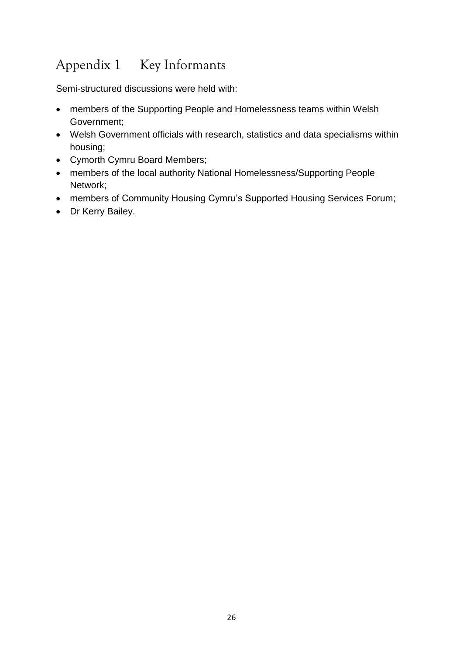# Appendix 1 Key Informants

Semi-structured discussions were held with:

- members of the Supporting People and Homelessness teams within Welsh Government;
- Welsh Government officials with research, statistics and data specialisms within housing;
- Cymorth Cymru Board Members;
- members of the local authority National Homelessness/Supporting People Network;
- members of Community Housing Cymru's Supported Housing Services Forum;
- Dr Kerry Bailey.